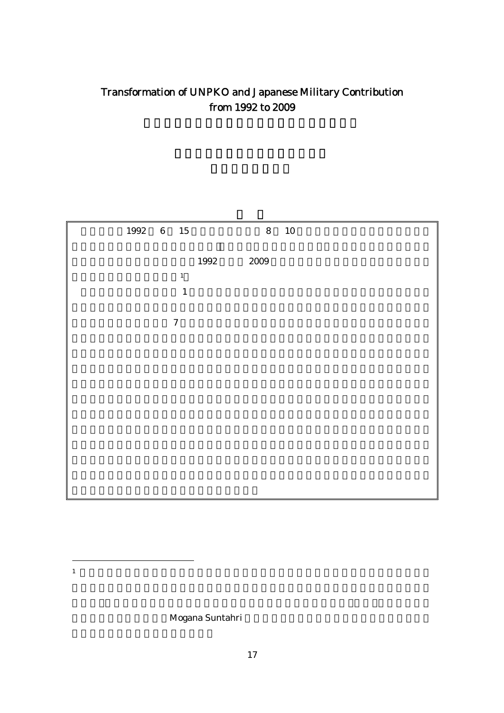# Transformation of UNPKO and Japanese Military Contribution from 1992 to 2009

| $1992\quad \, 6\quad \, 15$ |                  |      |      | $8 \qquad 10$ |  |  |
|-----------------------------|------------------|------|------|---------------|--|--|
|                             |                  |      |      |               |  |  |
|                             |                  | 1992 | 2009 |               |  |  |
|                             | $\mathbf 1$      |      |      |               |  |  |
|                             | $\mathbf 1$      |      |      |               |  |  |
|                             |                  |      |      |               |  |  |
|                             | $\boldsymbol{7}$ |      |      |               |  |  |
|                             |                  |      |      |               |  |  |
|                             |                  |      |      |               |  |  |
|                             |                  |      |      |               |  |  |
|                             |                  |      |      |               |  |  |
|                             |                  |      |      |               |  |  |
|                             |                  |      |      |               |  |  |
|                             |                  |      |      |               |  |  |
|                             |                  |      |      |               |  |  |
|                             |                  |      |      |               |  |  |
|                             |                  |      |      |               |  |  |
|                             |                  |      |      |               |  |  |

 $\overline{a}$  $1$ 

Mogana Suntahri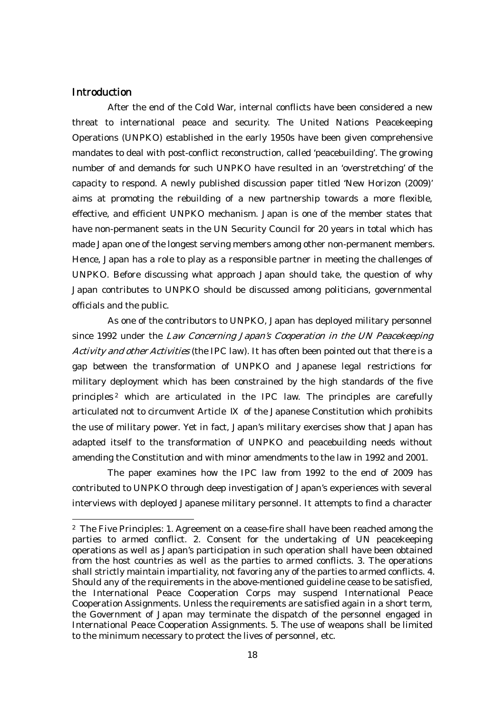### **Introduction**

 $\overline{a}$ 

After the end of the Cold War, internal conflicts have been considered a new threat to international peace and security. The United Nations Peacekeeping Operations (UNPKO) established in the early 1950s have been given comprehensive mandates to deal with post-conflict reconstruction, called 'peacebuilding'. The growing number of and demands for such UNPKO have resulted in an 'overstretching' of the capacity to respond. A newly published discussion paper titled 'New Horizon (2009)' aims at promoting the rebuilding of a new partnership towards a more flexible, effective, and efficient UNPKO mechanism. Japan is one of the member states that have non-permanent seats in the UN Security Council for 20 years in total which has made Japan one of the longest serving members among other non-permanent members. Hence, Japan has a role to play as a responsible partner in meeting the challenges of UNPKO. Before discussing what approach Japan should take, the question of why Japan contributes to UNPKO should be discussed among politicians, governmental officials and the public.

As one of the contributors to UNPKO, Japan has deployed military personnel since 1992 under the Law Concerning Japan's Cooperation in the UN Peacekeeping Activity and other Activities (the IPC law). It has often been pointed out that there is a gap between the transformation of UNPKO and Japanese legal restrictions for military deployment which has been constrained by the high standards of the five principles 2 which are articulated in the IPC law. The principles are carefully articulated not to circumvent Article of the Japanese Constitution which prohibits the use of military power. Yet in fact, Japan's military exercises show that Japan has adapted itself to the transformation of UNPKO and peacebuilding needs without amending the Constitution and with minor amendments to the law in 1992 and 2001.

The paper examines how the IPC law from 1992 to the end of 2009 has contributed to UNPKO through deep investigation of Japan's experiences with several interviews with deployed Japanese military personnel. It attempts to find a character

<sup>2</sup> The Five Principles: 1. Agreement on a cease-fire shall have been reached among the parties to armed conflict. 2. Consent for the undertaking of UN peacekeeping operations as well as Japan's participation in such operation shall have been obtained from the host countries as well as the parties to armed conflicts. 3. The operations shall strictly maintain impartiality, not favoring any of the parties to armed conflicts. 4. Should any of the requirements in the above-mentioned guideline cease to be satisfied, the International Peace Cooperation Corps may suspend International Peace Cooperation Assignments. Unless the requirements are satisfied again in a short term, the Government of Japan may terminate the dispatch of the personnel engaged in International Peace Cooperation Assignments. 5. The use of weapons shall be limited to the minimum necessary to protect the lives of personnel, etc.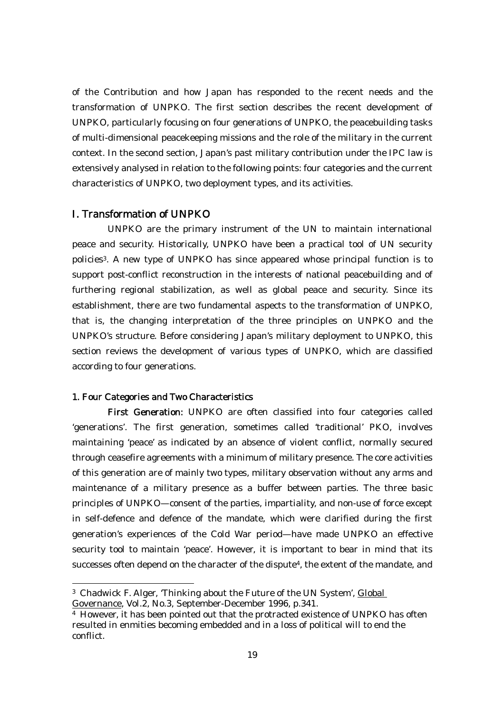of the Contribution and how Japan has responded to the recent needs and the transformation of UNPKO. The first section describes the recent development of UNPKO, particularly focusing on four generations of UNPKO, the peacebuilding tasks of multi-dimensional peacekeeping missions and the role of the military in the current context. In the second section, Japan's past military contribution under the IPC law is extensively analysed in relation to the following points: four categories and the current characteristics of UNPKO, two deployment types, and its activities.

#### I. Transformation of UNPKO

UNPKO are the primary instrument of the UN to maintain international peace and security. Historically, UNPKO have been a practical tool of UN security policies3. A new type of UNPKO has since appeared whose principal function is to support post-conflict reconstruction in the interests of national peacebuilding and of furthering regional stabilization, as well as global peace and security. Since its establishment, there are two fundamental aspects to the transformation of UNPKO, that is, the changing interpretation of the three principles on UNPKO and the UNPKO's structure. Before considering Japan's military deployment to UNPKO, this section reviews the development of various types of UNPKO, which are classified according to four generations.

#### 1. Four Categories and Two Characteristics

First Generation: UNPKO are often classified into four categories called 'generations'. The first generation, sometimes called 'traditional' PKO, involves maintaining 'peace' as indicated by an absence of violent conflict, normally secured through ceasefire agreements with a minimum of military presence. The core activities of this generation are of mainly two types, military observation without any arms and maintenance of a military presence as a buffer between parties. The three basic principles of UNPKO—consent of the parties, impartiality, and non-use of force except in self-defence and defence of the mandate, which were clarified during the first generation's experiences of the Cold War period—have made UNPKO an effective security tool to maintain 'peace'. However, it is important to bear in mind that its successes often depend on the character of the dispute<sup>4</sup>, the extent of the mandate, and

<sup>3</sup> Chadwick F. Alger, 'Thinking about the Future of the UN System', Global

Governance, Vol.2, No.3, September-December 1996, p.341.

<sup>4</sup> However, it has been pointed out that the protracted existence of UNPKO has often resulted in enmities becoming embedded and in a loss of political will to end the conflict.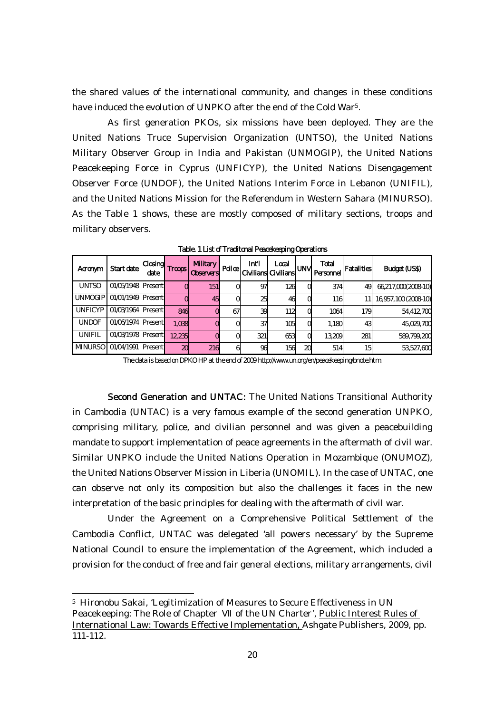the shared values of the international community, and changes in these conditions have induced the evolution of UNPKO after the end of the Cold War<sup>5</sup>.

As first generation PKOs, six missions have been deployed. They are the United Nations Truce Supervision Organization (UNTSO), the United Nations Military Observer Group in India and Pakistan (UNMOGIP), the United Nations Peacekeeping Force in Cyprus (UNFICYP), the United Nations Disengagement Observer Force (UNDOF), the United Nations Interim Force in Lebanon (UNIFIL), and the United Nations Mission for the Referendum in Western Sahara (MINURSO). As the Table 1 shows, these are mostly composed of military sections, troops and military observers.

| Acronym        | Start date                 | Closing<br>date | I Troops | <b>Military</b><br><b>Observers</b> | <b>Police</b> | <b>Int'l</b> | Local<br>Civilians Civilians | UNM | <b>Total</b><br>Personnel | <b>Fatalities</b> | Budget (US\$)        |
|----------------|----------------------------|-----------------|----------|-------------------------------------|---------------|--------------|------------------------------|-----|---------------------------|-------------------|----------------------|
| <b>UNISO</b>   | 01/05/1948 Present         |                 |          | 151                                 | Ol            | 97           | 126                          |     | 374                       | 49                | 66,217,000(2008-10)  |
|                | UNMOGIP 01/01/1949 Present |                 |          | 45                                  | Ol            | 25           | 46                           |     | 116                       |                   | 16,957,100 (2008-10) |
| <b>UNFICYP</b> | 01/03/1964 Present         |                 | 846      |                                     | 67            | 39           | 112                          |     | 1064                      | 179               | 54,412,700           |
| <b>UNDOF</b>   | 01/06/1974 Present         |                 | 1,038    |                                     |               | 37           | 105                          |     | 1,180                     | 43                | 45,029,700           |
| UNIFIL         | 01/03/1978 Present         |                 | 12.235   |                                     | Ol            | 321          | 653                          |     | 13.209                    | 281               | 589,799,200          |
|                | MINURSO 01/04/1991 Present |                 | 20       | <b>216</b>                          | 61            | 96           | 156                          | 20  | 514                       | 15                | 53,527,600           |

Table. 1 List of Traditonal Peacekeeping Operations

The data is based on DPKO HP at the end of 2009 http://www.un.org/en/peacekeeping/bnote.htm.

Second Generation and UNTAC: The United Nations Transitional Authority in Cambodia (UNTAC) is a very famous example of the second generation UNPKO, comprising military, police, and civilian personnel and was given a peacebuilding mandate to support implementation of peace agreements in the aftermath of civil war. Similar UNPKO include the United Nations Operation in Mozambique (ONUMOZ), the United Nations Observer Mission in Liberia (UNOMIL). In the case of UNTAC, one can observe not only its composition but also the challenges it faces in the new interpretation of the basic principles for dealing with the aftermath of civil war.

Under the Agreement on a Comprehensive Political Settlement of the Cambodia Conflict, UNTAC was delegated 'all powers necessary' by the Supreme National Council to ensure the implementation of the Agreement, which included a provision for the conduct of free and fair general elections, military arrangements, civil

<sup>5</sup> Hironobu Sakai, 'Legitimization of Measures to Secure Effectiveness in UN Peacekeeping: The Role of Chapter of the UN Charter', Public Interest Rules of International Law: Towards Effective Implementation, Ashgate Publishers, 2009, pp. 111-112.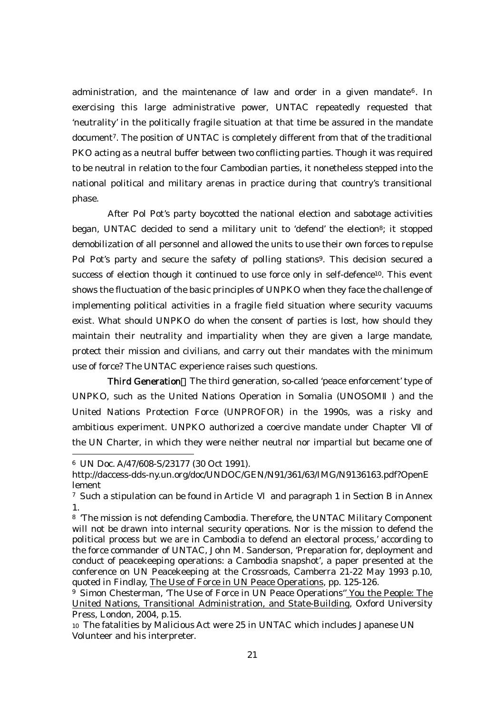administration, and the maintenance of law and order in a given mandate<sup>6</sup>. In exercising this large administrative power, UNTAC repeatedly requested that 'neutrality' in the politically fragile situation at that time be assured in the mandate document7. The position of UNTAC is completely different from that of the traditional PKO acting as a neutral buffer between two conflicting parties. Though it was required to be neutral in relation to the four Cambodian parties, it nonetheless stepped into the national political and military arenas in practice during that country's transitional phase.

After Pol Pot's party boycotted the national election and sabotage activities began, UNTAC decided to send a military unit to 'defend' the election<sup>8</sup>; it stopped demobilization of all personnel and allowed the units to use their own forces to repulse Pol Pot's party and secure the safety of polling stations<sup>9</sup>. This decision secured a success of election though it continued to use force only in self-defence<sup>10</sup>. This event shows the fluctuation of the basic principles of UNPKO when they face the challenge of implementing political activities in a fragile field situation where security vacuums exist. What should UNPKO do when the consent of parties is lost, how should they maintain their neutrality and impartiality when they are given a large mandate, protect their mission and civilians, and carry out their mandates with the minimum use of force? The UNTAC experience raises such questions.

Third Generation The third generation, so-called 'peace enforcement' type of UNPKO, such as the United Nations Operation in Somalia (UNOSOM ) and the United Nations Protection Force (UNPROFOR) in the 1990s, was a risky and ambitious experiment. UNPKO authorized a coercive mandate under Chapter of the UN Charter, in which they were neither neutral nor impartial but became one of

<sup>6</sup> UN Doc. A/47/608-S/23177 (30 Oct 1991).

http://daccess-dds-ny.un.org/doc/UNDOC/GEN/N91/361/63/IMG/N9136163.pdf?OpenE lement

<sup>7</sup> Such a stipulation can be found in Article and paragraph 1 in Section B in Annex 1.

<sup>8 &#</sup>x27;The mission is not defending Cambodia. Therefore, the UNTAC Military Component will not be drawn into internal security operations. Nor is the mission to defend the political process but we are in Cambodia to defend an electoral process,' according to the force commander of UNTAC, John M. Sanderson, 'Preparation for, deployment and conduct of peacekeeping operations: a Cambodia snapshot', a paper presented at the conference on UN Peacekeeping at the Crossroads, Camberra 21-22 May 1993 p.10, quoted in Findlay, The Use of Force in UN Peace Operations, pp. 125-126.

<sup>9</sup> Simon Chesterman, 'The Use of Force in UN Peace Operations'' You the People: The United Nations, Transitional Administration, and State-Building, Oxford University Press, London, 2004, p.15.

<sup>10</sup> The fatalities by Malicious Act were 25 in UNTAC which includes Japanese UN Volunteer and his interpreter.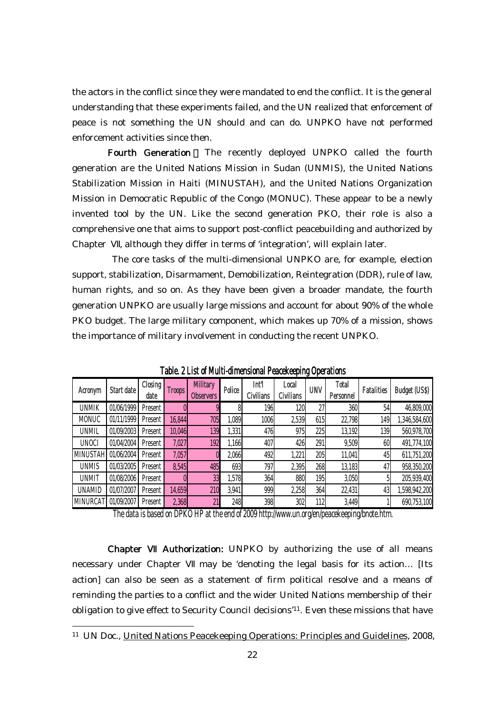the actors in the conflict since they were mandated to end the conflict. It is the general understanding that these experiments failed, and the UN realized that enforcement of peace is not something the UN should and can do. UNPKO have not performed enforcement activities since then.

Fourth Generation The recently deployed UNPKO called the fourth generation are the United Nations Mission in Sudan (UNMIS), the United Nations Stabilization Mission in Haiti (MINUSTAH), and the United Nations Organization Mission in Democratic Republic of the Congo (MONUC). These appear to be a newly invented tool by the UN. Like the second generation PKO, their role is also a comprehensive one that aims to support post-conflict peacebuilding and authorized by Chapter , although they differ in terms of 'integration', will explain later.

 The core tasks of the multi-dimensional UNPKO are, for example, election support, stabilization, Disarmament, Demobilization, Reintegration (DDR), rule of law, human rights, and so on. As they have been given a broader mandate, the fourth generation UNPKO are usually large missions and account for about 90% of the whole PKO budget. The large military component, which makes up 70% of a mission, shows the importance of military involvement in conducting the recent UNPKO.

| Acronym         | Start date | Closing<br>date | <b>Troops</b> | <b>Military</b><br><b>Observers</b> | Police | Int'l<br><b>Civilians</b> | Local<br>Civilians | <b>UNV</b> | <b>Total</b><br>Personnel | <b>Fatalities</b> | <b>Budget (US\$)</b> |
|-----------------|------------|-----------------|---------------|-------------------------------------|--------|---------------------------|--------------------|------------|---------------------------|-------------------|----------------------|
| <b>UNMIK</b>    | 01/06/1999 | Present         |               | 9                                   | 8      | 196                       | 120                | 27         | 360                       | 54                | 46,809,000           |
| <b>MONUC</b>    | 01/11/1999 | Present         | 16,844        | 705                                 | ,089   | 1006                      | 2,539              | 615        | 22,798                    | 149               | 1,346,584,600        |
| <b>UNMIL</b>    | 01/09/2003 | Present         | 10,046        | 139                                 | 1,331  | 476                       | 975                | 225        | 13,192                    | 139               | 560,978,700          |
| <b>UNOCI</b>    | 01/04/2004 | Present         | 7,027         | 192                                 | 1,166  | 407                       | 426                | 291        | 9,509                     | 60                | 491,774,100          |
| <b>MINUSTAH</b> | 01/06/2004 | Present         | 7,057         |                                     | 2,066  | 492                       | 1,221              | 205        | 11,041                    | 45                | 611,751,200          |
| <b>UNMIS</b>    | 01/03/2005 | Present         | 8,545         | 485                                 | 693    | 797                       | 2,395              | 268        | 13,183                    | 47                | 958,350,200          |
| <b>UNMIT</b>    | 01/08/2006 | Present         |               | 33                                  | 1,578  | 364                       | 880                | 195        | 3,050                     |                   | 205,939,400          |
| <b>UNAMID</b>   | 01/07/2007 | Present         | 14,659        | 210                                 | 3,941  | 999                       | 2,258              | 364        | 22,431                    | 43                | 1,598,942,200        |
| <b>MINURCAT</b> | 01/09/2007 | Present         | 2,368         | 21                                  | 248    | 398                       | 302                | 112        | 3,449                     |                   | 690,753,100          |

Table. 2 List of Multi-dimensional Peacekeeping Operations

The data is based on DPKO HP at the end of 2009 http://www.un.org/en/peacekeeping/bnote.htm.

Chapter Authorization: UNPKO by authorizing the use of all means necessary under Chapter may be 'denoting the legal basis for its action... [Its action] can also be seen as a statement of firm political resolve and a means of reminding the parties to a conflict and the wider United Nations membership of their obligation to give effect to Security Council decisions'11. Even these missions that have

<sup>11</sup> UN Doc., United Nations Peacekeeping Operations: Principles and Guidelines, 2008,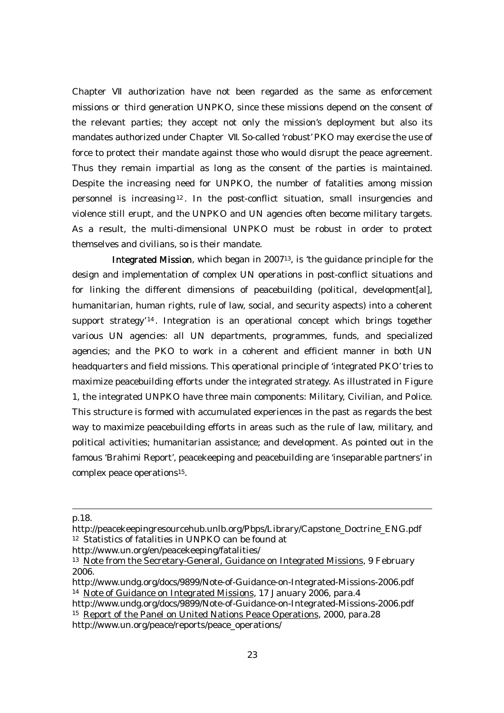Chapter authorization have not been regarded as the same as enforcement missions or third generation UNPKO, since these missions depend on the consent of the relevant parties; they accept not only the mission's deployment but also its mandates authorized under Chapter . So-called 'robust' PKO may exercise the use of force to protect their mandate against those who would disrupt the peace agreement. Thus they remain impartial as long as the consent of the parties is maintained. Despite the increasing need for UNPKO, the number of fatalities among mission personnel is increasing <sup>12</sup> . In the post-conflict situation, small insurgencies and violence still erupt, and the UNPKO and UN agencies often become military targets. As a result, the multi-dimensional UNPKO must be robust in order to protect themselves and civilians, so is their mandate.

 Integrated Mission, which began in 200713, is 'the guidance principle for the design and implementation of complex UN operations in post-conflict situations and for linking the different dimensions of peacebuilding (political, development[al], humanitarian, human rights, rule of law, social, and security aspects) into a coherent support strategy<sup>'14</sup>. Integration is an operational concept which brings together various UN agencies: all UN departments, programmes, funds, and specialized agencies; and the PKO to work in a coherent and efficient manner in both UN headquarters and field missions. This operational principle of 'integrated PKO' tries to maximize peacebuilding efforts under the integrated strategy. As illustrated in Figure 1, the integrated UNPKO have three main components: Military, Civilian, and Police. This structure is formed with accumulated experiences in the past as regards the best way to maximize peacebuilding efforts in areas such as the rule of law, military, and political activities; humanitarian assistance; and development. As pointed out in the famous 'Brahimi Report', peacekeeping and peacebuilding are 'inseparable partners' in complex peace operations15.

-

15 Report of the Panel on United Nations Peace Operations, 2000, para.28

http://www.un.org/peace/reports/peace\_operations/

p.18.

http://peacekeepingresourcehub.unlb.org/Pbps/Library/Capstone\_Doctrine\_ENG.pdf 12 Statistics of fatalities in UNPKO can be found at

http://www.un.org/en/peacekeeping/fatalities/

<sup>&</sup>lt;sup>13</sup> Note from the Secretary-General, Guidance on Integrated Missions, 9 February 2006.

http://www.undg.org/docs/9899/Note-of-Guidance-on-Integrated-Missions-2006.pdf 14 Note of Guidance on Integrated Missions, 17 January 2006, para.4

http://www.undg.org/docs/9899/Note-of-Guidance-on-Integrated-Missions-2006.pdf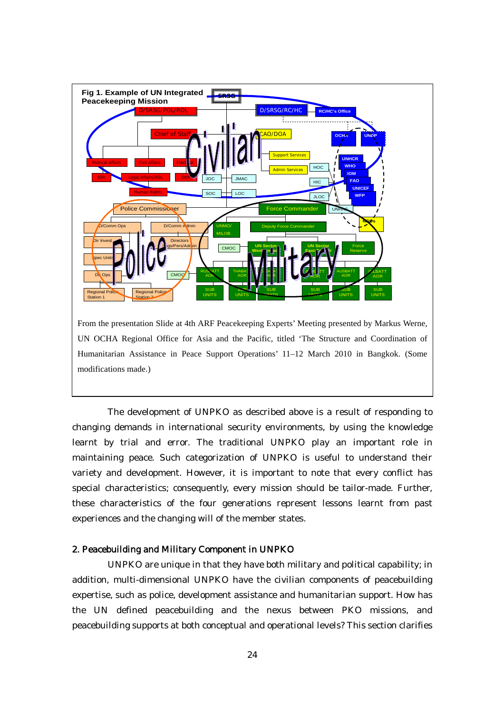

Humanitarian Assistance in Peace Support Operations' 11–12 March 2010 in Bangkok. (Some modifications made.)

The development of UNPKO as described above is a result of responding to changing demands in international security environments, by using the knowledge learnt by trial and error. The traditional UNPKO play an important role in maintaining peace. Such categorization of UNPKO is useful to understand their variety and development. However, it is important to note that every conflict has special characteristics; consequently, every mission should be tailor-made. Further, these characteristics of the four generations represent lessons learnt from past experiences and the changing will of the member states.

#### 2. Peacebuilding and Military Component in UNPKO

UNPKO are unique in that they have both military and political capability; in addition, multi-dimensional UNPKO have the civilian components of peacebuilding expertise, such as police, development assistance and humanitarian support. How has the UN defined peacebuilding and the nexus between PKO missions, and peacebuilding supports at both conceptual and operational levels? This section clarifies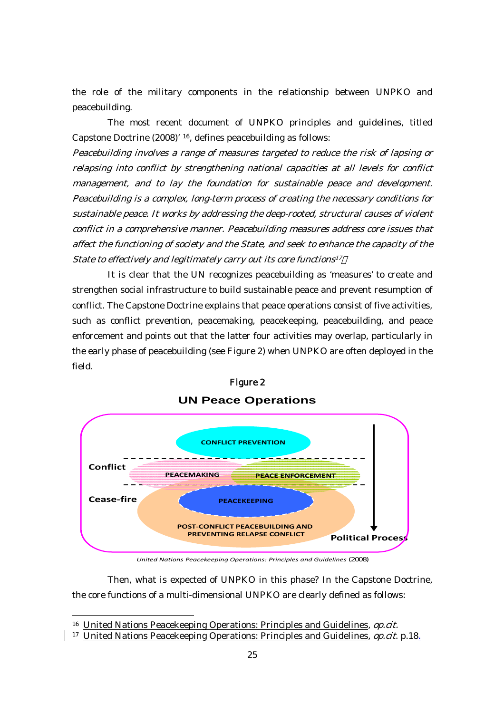the role of the military components in the relationship between UNPKO and peacebuilding.

The most recent document of UNPKO principles and guidelines, titled Capstone Doctrine (2008)' 16, defines peacebuilding as follows:

Peacebuilding involves a range of measures targeted to reduce the risk of lapsing or relapsing into conflict by strengthening national capacities at all levels for conflict management, and to lay the foundation for sustainable peace and development. Peacebuilding is a complex, long-term process of creating the necessary conditions for sustainable peace. It works by addressing the deep-rooted, structural causes of violent conflict in a comprehensive manner. Peacebuilding measures address core issues that affect the functioning of society and the State, and seek to enhance the capacity of the State to effectively and legitimately carry out its core functions<sup>17</sup>

It is clear that the UN recognizes peacebuilding as 'measures' to create and strengthen social infrastructure to build sustainable peace and prevent resumption of conflict. The Capstone Doctrine explains that peace operations consist of five activities, such as conflict prevention, peacemaking, peacekeeping, peacebuilding, and peace enforcement and points out that the latter four activities may overlap, particularly in the early phase of peacebuilding (see Figure 2) when UNPKO are often deployed in the field.



# **UN Peace Operations** Figure 2

*United Nations Peacekeeping Operations: Principles and Guidelines* (2008)

Then, what is expected of UNPKO in this phase? In the Capstone Doctrine, the core functions of a multi-dimensional UNPKO are clearly defined as follows:

<sup>&</sup>lt;sup>16</sup> United Nations Peacekeeping Operations: Principles and Guidelines, *op.cit.* 

<sup>&</sup>lt;sup>17</sup> United Nations Peacekeeping Operations: Principles and Guidelines, *op.cit.* p.18.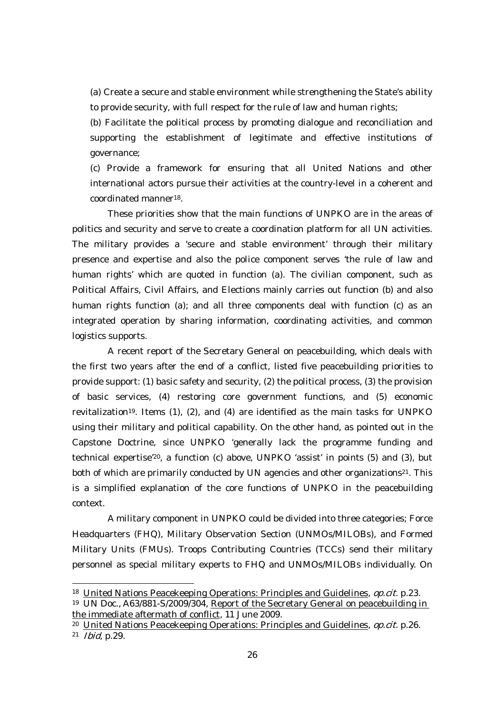(a) Create a secure and stable environment while strengthening the State's ability to provide security, with full respect for the rule of law and human rights;

(b) Facilitate the political process by promoting dialogue and reconciliation and supporting the establishment of legitimate and effective institutions of governance;

(c) Provide a framework for ensuring that all United Nations and other international actors pursue their activities at the country-level in a coherent and coordinated manner18.

These priorities show that the main functions of UNPKO are in the areas of politics and security and serve to create a coordination platform for all UN activities. The military provides a 'secure and stable environment' through their military presence and expertise and also the police component serves 'the rule of law and human rights' which are quoted in function (a). The civilian component, such as Political Affairs, Civil Affairs, and Elections mainly carries out function (b) and also human rights function (a); and all three components deal with function (c) as an integrated operation by sharing information, coordinating activities, and common logistics supports.

A recent report of the Secretary General on peacebuilding, which deals with the first two years after the end of a conflict, listed five peacebuilding priorities to provide support: (1) basic safety and security, (2) the political process, (3) the provision of basic services, (4) restoring core government functions, and (5) economic revitalization19. Items (1), (2), and (4) are identified as the main tasks for UNPKO using their military and political capability. On the other hand, as pointed out in the Capstone Doctrine, since UNPKO 'generally lack the programme funding and technical expertise'20, a function (c) above, UNPKO 'assist' in points (5) and (3), but both of which are primarily conducted by UN agencies and other organizations<sup>21</sup>. This is a simplified explanation of the core functions of UNPKO in the peacebuilding context.

A military component in UNPKO could be divided into three categories; Force Headquarters (FHQ), Military Observation Section (UNMOs/MILOBs), and Formed Military Units (FMUs). Troops Contributing Countries (TCCs) send their military personnel as special military experts to FHQ and UNMOs/MILOBs individually. On

<sup>&</sup>lt;sup>18</sup> United Nations Peacekeeping Operations: Principles and Guidelines, *op.cit.* p.23.

<sup>19</sup> UN Doc., A63/881-S/2009/304, Report of the Secretary General on peacebuilding in the immediate aftermath of conflict, 11 June 2009.

<sup>&</sup>lt;sup>20</sup> United Nations Peacekeeping Operations: Principles and Guidelines, *op.cit.* p.26. <sup>21</sup> Ibid, p.29.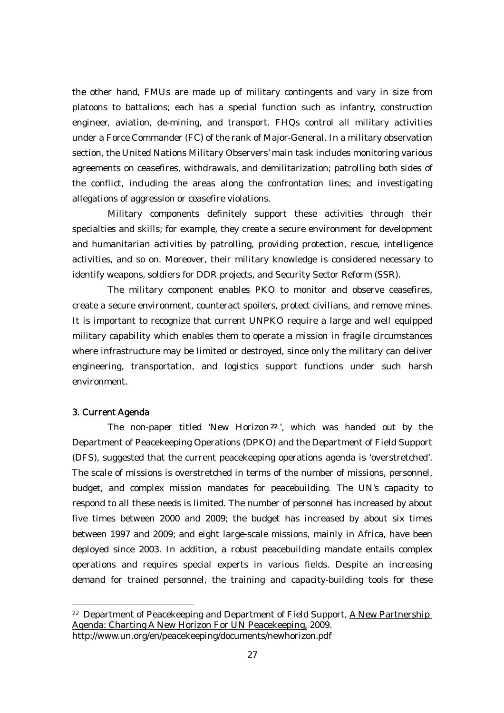the other hand, FMUs are made up of military contingents and vary in size from platoons to battalions; each has a special function such as infantry, construction engineer, aviation, de-mining, and transport. FHQs control all military activities under a Force Commander (FC) of the rank of Major-General. In a military observation section, the United Nations Military Observers' main task includes monitoring various agreements on ceasefires, withdrawals, and demilitarization; patrolling both sides of the conflict, including the areas along the confrontation lines; and investigating allegations of aggression or ceasefire violations.

Military components definitely support these activities through their specialties and skills; for example, they create a secure environment for development and humanitarian activities by patrolling, providing protection, rescue, intelligence activities, and so on. Moreover, their military knowledge is considered necessary to identify weapons, soldiers for DDR projects, and Security Sector Reform (SSR).

The military component enables PKO to monitor and observe ceasefires, create a secure environment, counteract spoilers, protect civilians, and remove mines. It is important to recognize that current UNPKO require a large and well equipped military capability which enables them to operate a mission in fragile circumstances where infrastructure may be limited or destroyed, since only the military can deliver engineering, transportation, and logistics support functions under such harsh environment.

### 3. Current Agenda

 $\overline{a}$ 

 The non-paper titled 'New Horizon <sup>22</sup> ', which was handed out by the Department of Peacekeeping Operations (DPKO) and the Department of Field Support (DFS), suggested that the current peacekeeping operations agenda is 'overstretched'. The scale of missions is overstretched in terms of the number of missions, personnel, budget, and complex mission mandates for peacebuilding. The UN's capacity to respond to all these needs is limited. The number of personnel has increased by about five times between 2000 and 2009; the budget has increased by about six times between 1997 and 2009; and eight large-scale missions, mainly in Africa, have been deployed since 2003. In addition, a robust peacebuilding mandate entails complex operations and requires special experts in various fields. Despite an increasing demand for trained personnel, the training and capacity-building tools for these

<sup>22</sup> Department of Peacekeeping and Department of Field Support, A New Partnership Agenda: Charting A New Horizon For UN Peacekeeping, 2009.

http://www.un.org/en/peacekeeping/documents/newhorizon.pdf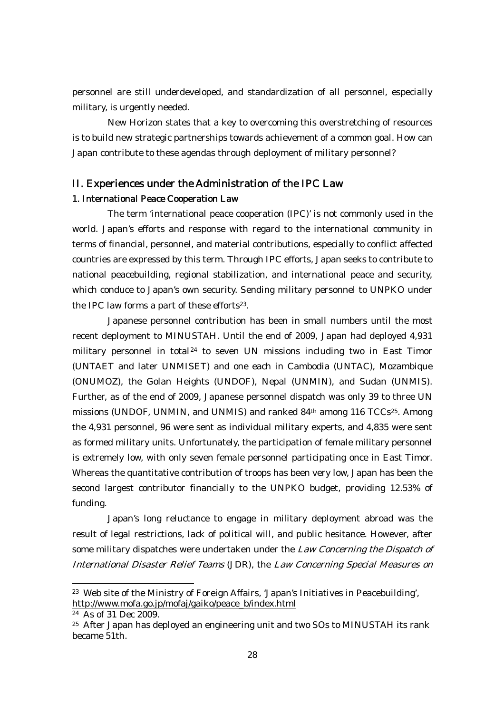personnel are still underdeveloped, and standardization of all personnel, especially military, is urgently needed.

New Horizon states that a key to overcoming this overstretching of resources is to build new strategic partnerships towards achievement of a common goal. How can Japan contribute to these agendas through deployment of military personnel?

# II. Experiences under the Administration of the IPC Law 1. International Peace Cooperation Law

The term 'international peace cooperation (IPC)' is not commonly used in the world. Japan's efforts and response with regard to the international community in terms of financial, personnel, and material contributions, especially to conflict affected countries are expressed by this term. Through IPC efforts, Japan seeks to contribute to national peacebuilding, regional stabilization, and international peace and security, which conduce to Japan's own security. Sending military personnel to UNPKO under the IPC law forms a part of these efforts<sup>23</sup>.

Japanese personnel contribution has been in small numbers until the most recent deployment to MINUSTAH. Until the end of 2009, Japan had deployed 4,931 military personnel in total<sup>24</sup> to seven UN missions including two in East Timor (UNTAET and later UNMISET) and one each in Cambodia (UNTAC), Mozambique (ONUMOZ), the Golan Heights (UNDOF), Nepal (UNMIN), and Sudan (UNMIS). Further, as of the end of 2009, Japanese personnel dispatch was only 39 to three UN missions (UNDOF, UNMIN, and UNMIS) and ranked 84<sup>th</sup> among 116 TCCs<sup>25</sup>. Among the 4,931 personnel, 96 were sent as individual military experts, and 4,835 were sent as formed military units. Unfortunately, the participation of female military personnel is extremely low, with only seven female personnel participating once in East Timor. Whereas the quantitative contribution of troops has been very low, Japan has been the second largest contributor financially to the UNPKO budget, providing 12.53% of funding.

Japan's long reluctance to engage in military deployment abroad was the result of legal restrictions, lack of political will, and public hesitance. However, after some military dispatches were undertaken under the Law Concerning the Dispatch of International Disaster Relief Teams (JDR), the Law Concerning Special Measures on

<sup>23</sup> Web site of the Ministry of Foreign Affairs, 'Japan's Initiatives in Peacebuilding', http://www.mofa.go.jp/mofaj/gaiko/peace\_b/index.html

<sup>24</sup> As of 31 Dec 2009.

<sup>&</sup>lt;sup>25</sup> After Japan has deployed an engineering unit and two SOs to MINUSTAH its rank became 51th.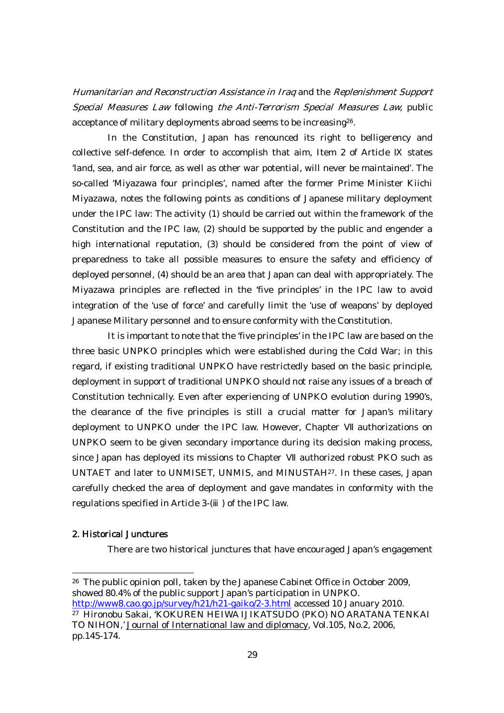Humanitarian and Reconstruction Assistance in Iraq and the Replenishment Support Special Measures Law following the Anti-Terrorism Special Measures Law, public acceptance of military deployments abroad seems to be increasing26.

In the Constitution, Japan has renounced its right to belligerency and collective self-defence. In order to accomplish that aim, Item 2 of Article states 'land, sea, and air force, as well as other war potential, will never be maintained'. The so-called 'Miyazawa four principles', named after the former Prime Minister Kiichi Miyazawa, notes the following points as conditions of Japanese military deployment under the IPC law: The activity (1) should be carried out within the framework of the Constitution and the IPC law, (2) should be supported by the public and engender a high international reputation, (3) should be considered from the point of view of preparedness to take all possible measures to ensure the safety and efficiency of deployed personnel, (4) should be an area that Japan can deal with appropriately. The Miyazawa principles are reflected in the 'five principles' in the IPC law to avoid integration of the 'use of force' and carefully limit the 'use of weapons' by deployed Japanese Military personnel and to ensure conformity with the Constitution.

It is important to note that the 'five principles' in the IPC law are based on the three basic UNPKO principles which were established during the Cold War; in this regard, if existing traditional UNPKO have restrictedly based on the basic principle, deployment in support of traditional UNPKO should not raise any issues of a breach of Constitution technically. Even after experiencing of UNPKO evolution during 1990's, the clearance of the five principles is still a crucial matter for Japan's military deployment to UNPKO under the IPC law. However, Chapter authorizations on UNPKO seem to be given secondary importance during its decision making process, since Japan has deployed its missions to Chapter authorized robust PKO such as UNTAET and later to UNMISET, UNMIS, and MINUSTAH27. In these cases, Japan carefully checked the area of deployment and gave mandates in conformity with the regulations specified in Article 3-( ) of the IPC law.

### 2. Historical Junctures

 $\overline{a}$ 

There are two historical junctures that have encouraged Japan's engagement

<sup>26</sup> The public opinion poll, taken by the Japanese Cabinet Office in October 2009, showed 80.4% of the public support Japan's participation in UNPKO. http://www8.cao.go.jp/survey/h21/h21-gaiko/2-3.html accessed 10 January 2010.

<sup>27</sup> Hironobu Sakai, 'KOKUREN HEIWA IJIKATSUDO (PKO) NO ARATANA TENKAI TO NIHON,' Journal of International law and diplomacy, Vol.105, No.2, 2006, pp.145-174.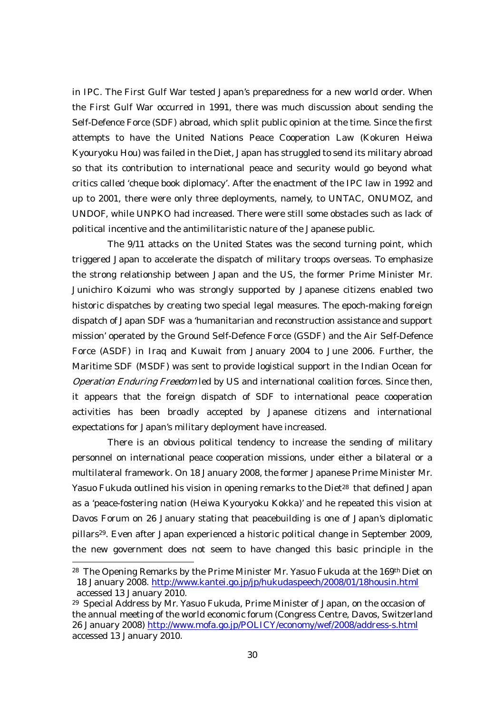in IPC. The First Gulf War tested Japan's preparedness for a new world order. When the First Gulf War occurred in 1991, there was much discussion about sending the Self-Defence Force (SDF) abroad, which split public opinion at the time. Since the first attempts to have the United Nations Peace Cooperation Law (Kokuren Heiwa Kyouryoku Hou) was failed in the Diet, Japan has struggled to send its military abroad so that its contribution to international peace and security would go beyond what critics called 'cheque book diplomacy'. After the enactment of the IPC law in 1992 and up to 2001, there were only three deployments, namely, to UNTAC, ONUMOZ, and UNDOF, while UNPKO had increased. There were still some obstacles such as lack of political incentive and the antimilitaristic nature of the Japanese public.

The 9/11 attacks on the United States was the second turning point, which triggered Japan to accelerate the dispatch of military troops overseas. To emphasize the strong relationship between Japan and the US, the former Prime Minister Mr. Junichiro Koizumi who was strongly supported by Japanese citizens enabled two historic dispatches by creating two special legal measures. The epoch-making foreign dispatch of Japan SDF was a 'humanitarian and reconstruction assistance and support mission' operated by the Ground Self-Defence Force (GSDF) and the Air Self-Defence Force (ASDF) in Iraq and Kuwait from January 2004 to June 2006. Further, the Maritime SDF (MSDF) was sent to provide logistical support in the Indian Ocean for Operation Enduring Freedom led by US and international coalition forces. Since then, it appears that the foreign dispatch of SDF to international peace cooperation activities has been broadly accepted by Japanese citizens and international expectations for Japan's military deployment have increased.

There is an obvious political tendency to increase the sending of military personnel on international peace cooperation missions, under either a bilateral or a multilateral framework. On 18 January 2008, the former Japanese Prime Minister Mr. Yasuo Fukuda outlined his vision in opening remarks to the Diet<sup>28</sup> that defined Japan as a 'peace-fostering nation (Heiwa Kyouryoku Kokka)' and he repeated this vision at Davos Forum on 26 January stating that peacebuilding is one of Japan's diplomatic pillars29. Even after Japan experienced a historic political change in September 2009, the new government does not seem to have changed this basic principle in the

<sup>28</sup> The Opening Remarks by the Prime Minister Mr. Yasuo Fukuda at the 169th Diet on 18 January 2008. http://www.kantei.go.jp/jp/hukudaspeech/2008/01/18housin.html accessed 13 January 2010.

<sup>29</sup> Special Address by Mr. Yasuo Fukuda, Prime Minister of Japan, on the occasion of the annual meeting of the world economic forum (Congress Centre, Davos, Switzerland 26 January 2008) http://www.mofa.go.jp/POLICY/economy/wef/2008/address-s.html accessed 13 January 2010.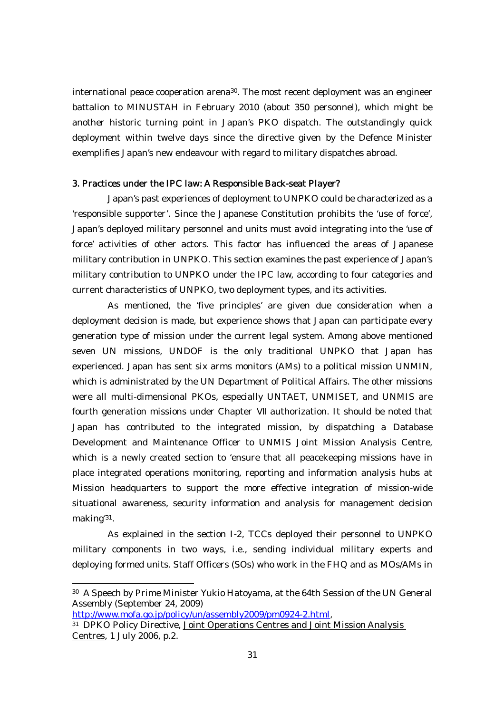international peace cooperation arena<sup>30</sup>. The most recent deployment was an engineer battalion to MINUSTAH in February 2010 (about 350 personnel), which might be another historic turning point in Japan's PKO dispatch. The outstandingly quick deployment within twelve days since the directive given by the Defence Minister exemplifies Japan's new endeavour with regard to military dispatches abroad.

#### 3. Practices under the IPC law: A Responsible Back-seat Player?

Japan's past experiences of deployment to UNPKO could be characterized as a 'responsible supporter'. Since the Japanese Constitution prohibits the 'use of force', Japan's deployed military personnel and units must avoid integrating into the 'use of force' activities of other actors. This factor has influenced the areas of Japanese military contribution in UNPKO. This section examines the past experience of Japan's military contribution to UNPKO under the IPC law, according to four categories and current characteristics of UNPKO, two deployment types, and its activities.

As mentioned, the 'five principles' are given due consideration when a deployment decision is made, but experience shows that Japan can participate every generation type of mission under the current legal system. Among above mentioned seven UN missions, UNDOF is the only traditional UNPKO that Japan has experienced. Japan has sent six arms monitors (AMs) to a political mission UNMIN, which is administrated by the UN Department of Political Affairs. The other missions were all multi-dimensional PKOs, especially UNTAET, UNMISET, and UNMIS are fourth generation missions under Chapter authorization. It should be noted that Japan has contributed to the integrated mission, by dispatching a Database Development and Maintenance Officer to UNMIS Joint Mission Analysis Centre, which is a newly created section to 'ensure that all peacekeeping missions have in place integrated operations monitoring, reporting and information analysis hubs at Mission headquarters to support the more effective integration of mission-wide situational awareness, security information and analysis for management decision making'31.

As explained in the section I-2, TCCs deployed their personnel to UNPKO military components in two ways, i.e., sending individual military experts and deploying formed units. Staff Officers (SOs) who work in the FHQ and as MOs/AMs in

<sup>30</sup> A Speech by Prime Minister Yukio Hatoyama, at the 64th Session of the UN General Assembly (September 24, 2009)<br>http://www.mofa.go.jp/policy/un/assembly2009/pm0924-2.html,

<sup>&</sup>lt;sup>31</sup> DPKO Policy Directive, Joint Operations Centres and Joint Mission Analysis Centres, 1 July 2006, p.2.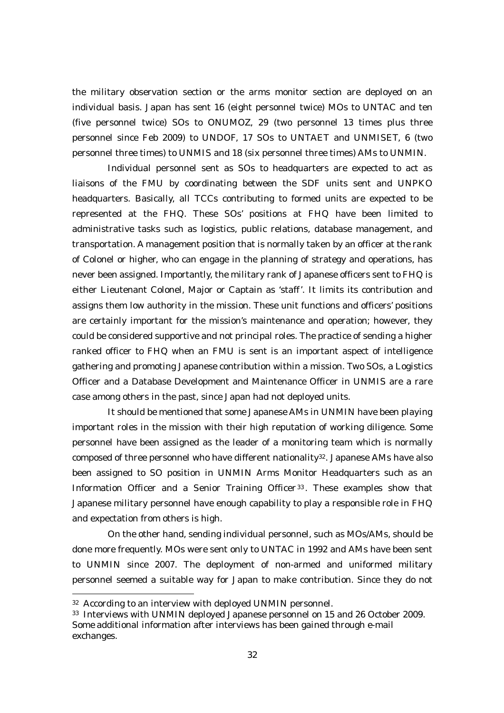the military observation section or the arms monitor section are deployed on an individual basis. Japan has sent 16 (eight personnel twice) MOs to UNTAC and ten (five personnel twice) SOs to ONUMOZ, 29 (two personnel 13 times plus three personnel since Feb 2009) to UNDOF, 17 SOs to UNTAET and UNMISET, 6 (two personnel three times) to UNMIS and 18 (six personnel three times) AMs to UNMIN.

Individual personnel sent as SOs to headquarters are expected to act as liaisons of the FMU by coordinating between the SDF units sent and UNPKO headquarters. Basically, all TCCs contributing to formed units are expected to be represented at the FHQ. These SOs' positions at FHQ have been limited to administrative tasks such as logistics, public relations, database management, and transportation. A management position that is normally taken by an officer at the rank of Colonel or higher, who can engage in the planning of strategy and operations, has never been assigned. Importantly, the military rank of Japanese officers sent to FHQ is either Lieutenant Colonel, Major or Captain as 'staff'. It limits its contribution and assigns them low authority in the mission. These unit functions and officers' positions are certainly important for the mission's maintenance and operation; however, they could be considered supportive and not principal roles. The practice of sending a higher ranked officer to FHQ when an FMU is sent is an important aspect of intelligence gathering and promoting Japanese contribution within a mission. Two SOs, a Logistics Officer and a Database Development and Maintenance Officer in UNMIS are a rare case among others in the past, since Japan had not deployed units.

It should be mentioned that some Japanese AMs in UNMIN have been playing important roles in the mission with their high reputation of working diligence. Some personnel have been assigned as the leader of a monitoring team which is normally composed of three personnel who have different nationality<sup>32</sup>. Japanese AMs have also been assigned to SO position in UNMIN Arms Monitor Headquarters such as an Information Officer and a Senior Training Officer <sup>33</sup> . These examples show that Japanese military personnel have enough capability to play a responsible role in FHQ and expectation from others is high.

On the other hand, sending individual personnel, such as MOs/AMs, should be done more frequently. MOs were sent only to UNTAC in 1992 and AMs have been sent to UNMIN since 2007. The deployment of non-armed and uniformed military personnel seemed a suitable way for Japan to make contribution. Since they do not

<sup>32</sup> According to an interview with deployed UNMIN personnel.

<sup>33</sup> Interviews with UNMIN deployed Japanese personnel on 15 and 26 October 2009. Some additional information after interviews has been gained through e-mail exchanges.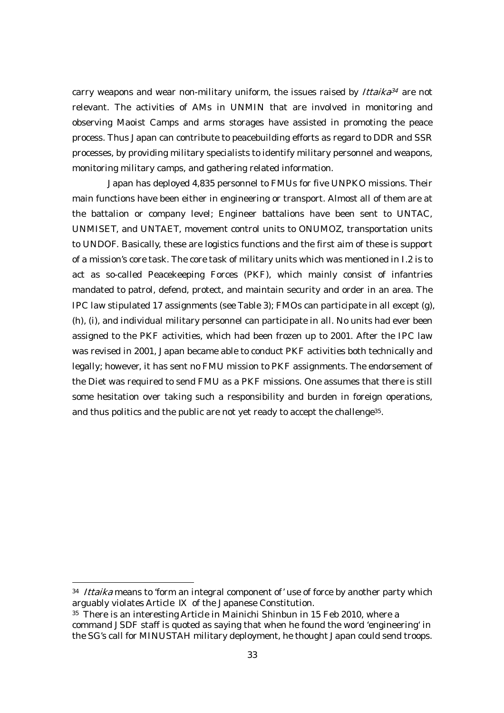carry weapons and wear non-military uniform, the issues raised by  $Itaika^{34}$  are not relevant. The activities of AMs in UNMIN that are involved in monitoring and observing Maoist Camps and arms storages have assisted in promoting the peace process. Thus Japan can contribute to peacebuilding efforts as regard to DDR and SSR processes, by providing military specialists to identify military personnel and weapons, monitoring military camps, and gathering related information.

 Japan has deployed 4,835 personnel to FMUs for five UNPKO missions. Their main functions have been either in engineering or transport. Almost all of them are at the battalion or company level; Engineer battalions have been sent to UNTAC, UNMISET, and UNTAET, movement control units to ONUMOZ, transportation units to UNDOF. Basically, these are logistics functions and the first aim of these is support of a mission's core task. The core task of military units which was mentioned in I.2 is to act as so-called Peacekeeping Forces (PKF), which mainly consist of infantries mandated to patrol, defend, protect, and maintain security and order in an area. The IPC law stipulated 17 assignments (see Table 3); FMOs can participate in all except (g), (h), (i), and individual military personnel can participate in all. No units had ever been assigned to the PKF activities, which had been frozen up to 2001. After the IPC law was revised in 2001, Japan became able to conduct PKF activities both technically and legally; however, it has sent no FMU mission to PKF assignments. The endorsement of the Diet was required to send FMU as a PKF missions. One assumes that there is still some hesitation over taking such a responsibility and burden in foreign operations, and thus politics and the public are not yet ready to accept the challenge35.

<sup>&</sup>lt;sup>34</sup> Ittaika means to 'form an integral component of' use of force by another party which arguably violates Article of the Japanese Constitution.

<sup>&</sup>lt;sup>35</sup> There is an interesting Article in Mainichi Shinbun in 15 Feb 2010, where a command JSDF staff is quoted as saying that when he found the word 'engineering' in the SG's call for MINUSTAH military deployment, he thought Japan could send troops.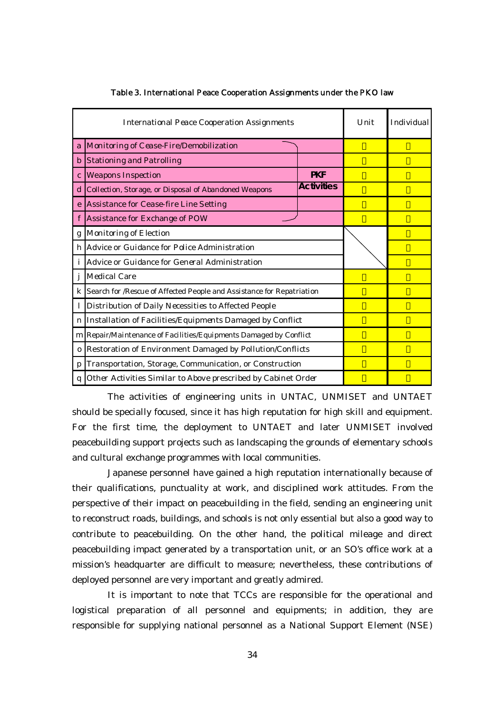|              | <b>International Peace Cooperation Assignments</b>                                               | Unit | Individual |
|--------------|--------------------------------------------------------------------------------------------------|------|------------|
| a            | Monitoring of Cease-Fire/Demobilization                                                          |      |            |
| $\mathbf b$  | <b>Stationing and Patrolling</b>                                                                 |      |            |
| $\mathbf{c}$ | <b>Weapons Inspection</b>                                                                        |      |            |
| d            | Collection, Storage, or Disposal of Abandoned Weapons                                            |      |            |
| e            | Assistance for Cease-fire Line Setting                                                           |      |            |
| f            | Assistance for Exchange of POW                                                                   |      |            |
| g            | Monitoring of Election                                                                           |      |            |
| h            | Advice or Guidance for Police Administration                                                     |      |            |
| i            | Advice or Guidance for General Administration                                                    |      |            |
| j            | <b>Medical Care</b>                                                                              |      |            |
| $\bf k$      | Search for <i>Rescue</i> of <i>Affected People</i> and <i>Assistance</i> for <i>Repatriation</i> |      |            |
|              | Distribution of Daily Necessities to Affected People                                             |      |            |
| $\mathbf n$  | Installation of Facilities/Equipments Damaged by Conflict                                        |      |            |
|              | m Repair/Maintenance of Facilities/Equipments Damaged by Conflict                                |      |            |
| $\bf{0}$     | Restoration of Environment Damaged by Pollution/Conflicts                                        |      |            |
| p            | Transportation, Storage, Communication, or Construction                                          |      |            |
| q            | Other Activities Similar to Above prescribed by Cabinet Order                                    |      |            |

#### Table 3. International Peace Cooperation Assignments under the PKO law

The activities of engineering units in UNTAC, UNMISET and UNTAET should be specially focused, since it has high reputation for high skill and equipment. For the first time, the deployment to UNTAET and later UNMISET involved peacebuilding support projects such as landscaping the grounds of elementary schools and cultural exchange programmes with local communities.

Japanese personnel have gained a high reputation internationally because of their qualifications, punctuality at work, and disciplined work attitudes. From the perspective of their impact on peacebuilding in the field, sending an engineering unit to reconstruct roads, buildings, and schools is not only essential but also a good way to contribute to peacebuilding. On the other hand, the political mileage and direct peacebuilding impact generated by a transportation unit, or an SO's office work at a mission's headquarter are difficult to measure; nevertheless, these contributions of deployed personnel are very important and greatly admired.

It is important to note that TCCs are responsible for the operational and logistical preparation of all personnel and equipments; in addition, they are responsible for supplying national personnel as a National Support Element (NSE)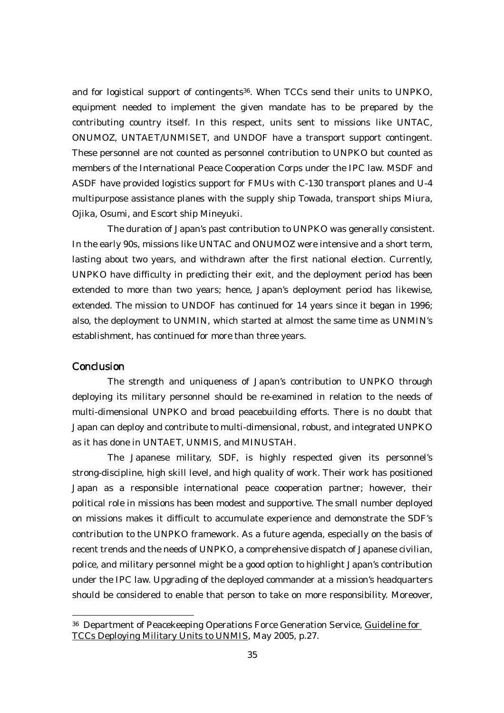and for logistical support of contingents36. When TCCs send their units to UNPKO, equipment needed to implement the given mandate has to be prepared by the contributing country itself. In this respect, units sent to missions like UNTAC, ONUMOZ, UNTAET/UNMISET, and UNDOF have a transport support contingent. These personnel are not counted as personnel contribution to UNPKO but counted as members of the International Peace Cooperation Corps under the IPC law. MSDF and ASDF have provided logistics support for FMUs with C-130 transport planes and U-4 multipurpose assistance planes with the supply ship Towada, transport ships Miura, Ojika, Osumi, and Escort ship Mineyuki.

The duration of Japan's past contribution to UNPKO was generally consistent. In the early 90s, missions like UNTAC and ONUMOZ were intensive and a short term, lasting about two years, and withdrawn after the first national election. Currently, UNPKO have difficulty in predicting their exit, and the deployment period has been extended to more than two years; hence, Japan's deployment period has likewise, extended. The mission to UNDOF has continued for 14 years since it began in 1996; also, the deployment to UNMIN, which started at almost the same time as UNMIN's establishment, has continued for more than three years.

## **Conclusion**

 $\overline{a}$ 

The strength and uniqueness of Japan's contribution to UNPKO through deploying its military personnel should be re-examined in relation to the needs of multi-dimensional UNPKO and broad peacebuilding efforts. There is no doubt that Japan can deploy and contribute to multi-dimensional, robust, and integrated UNPKO as it has done in UNTAET, UNMIS, and MINUSTAH.

The Japanese military, SDF, is highly respected given its personnel's strong-discipline, high skill level, and high quality of work. Their work has positioned Japan as a responsible international peace cooperation partner; however, their political role in missions has been modest and supportive. The small number deployed on missions makes it difficult to accumulate experience and demonstrate the SDF's contribution to the UNPKO framework. As a future agenda, especially on the basis of recent trends and the needs of UNPKO, a comprehensive dispatch of Japanese civilian, police, and military personnel might be a good option to highlight Japan's contribution under the IPC law. Upgrading of the deployed commander at a mission's headquarters should be considered to enable that person to take on more responsibility. Moreover,

<sup>36</sup> Department of Peacekeeping Operations Force Generation Service, Guideline for TCCs Deploying Military Units to UNMIS, May 2005, p.27.